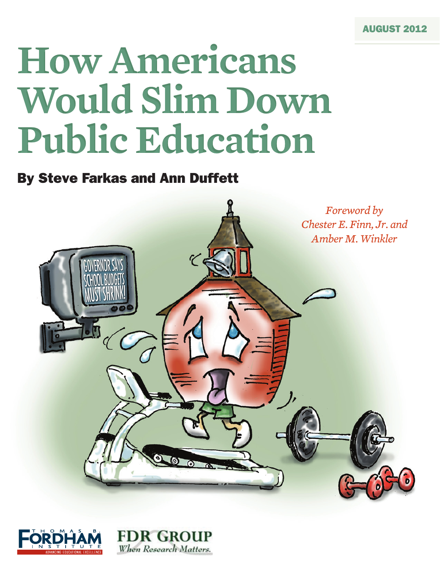# **How Americans Would Slim Down Public Education**

# By Steve Farkas and Ann Duffett



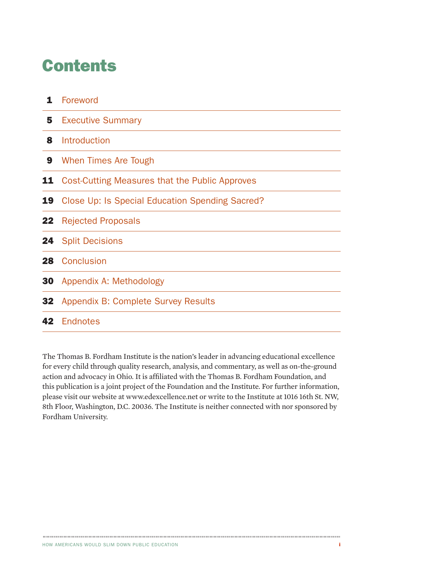# **Contents**

|           | 1 Foreword                                      |
|-----------|-------------------------------------------------|
| 5         | <b>Executive Summary</b>                        |
| 8         | Introduction                                    |
| 9         | When Times Are Tough                            |
| 11        | Cost-Cutting Measures that the Public Approves  |
| 19        | Close Up: Is Special Education Spending Sacred? |
|           | <b>22</b> Rejected Proposals                    |
|           | <b>24</b> Split Decisions                       |
|           | <b>28</b> Conclusion                            |
| <b>30</b> | Appendix A: Methodology                         |
|           | <b>32</b> Appendix B: Complete Survey Results   |
|           | 42 Endnotes                                     |

The Thomas B. Fordham Institute is the nation's leader in advancing educational excellence for every child through quality research, analysis, and commentary, as well as on-the-ground action and advocacy in Ohio. It is affiliated with the Thomas B. Fordham Foundation, and this publication is a joint project of the Foundation and the Institute. For further information, please visit our website at www.edexcellence.net or write to the Institute at 1016 16th St. NW, 8th Floor, Washington, D.C. 20036. The Institute is neither connected with nor sponsored by Fordham University.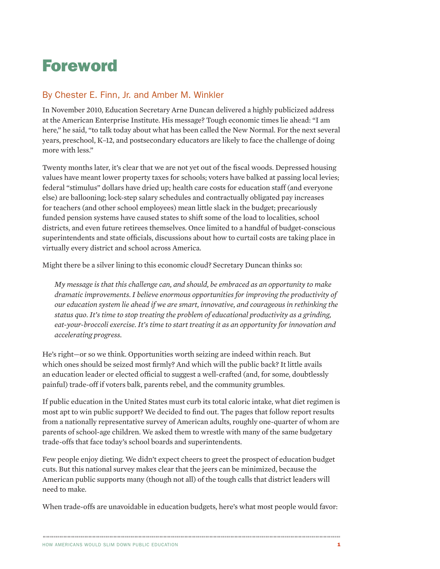# Foreword

# By Chester E. Finn, Jr. and Amber M. Winkler

In November 2010, Education Secretary Arne Duncan delivered a highly publicized address at the American Enterprise Institute. His message? Tough economic times lie ahead: "I am here," he said, "to talk today about what has been called the New Normal. For the next several years, preschool, K–12, and postsecondary educators are likely to face the challenge of doing more with less."

Twenty months later, it's clear that we are not yet out of the fiscal woods. Depressed housing values have meant lower property taxes for schools; voters have balked at passing local levies; federal "stimulus" dollars have dried up; health care costs for education staff (and everyone else) are ballooning; lock-step salary schedules and contractually obligated pay increases for teachers (and other school employees) mean little slack in the budget; precariously funded pension systems have caused states to shift some of the load to localities, school districts, and even future retirees themselves. Once limited to a handful of budget-conscious superintendents and state officials, discussions about how to curtail costs are taking place in virtually every district and school across America.

Might there be a silver lining to this economic cloud? Secretary Duncan thinks so:

*My message is that this challenge can, and should, be embraced as an opportunity to make dramatic improvements. I believe enormous opportunities for improving the productivity of our education system lie ahead if we are smart, innovative, and courageous in rethinking the status quo. It's time to stop treating the problem of educational productivity as a grinding, eat-your-broccoli exercise. It's time to start treating it as an opportunity for innovation and accelerating progress.* 

He's right—or so we think. Opportunities worth seizing are indeed within reach. But which ones should be seized most firmly? And which will the public back? It little avails an education leader or elected official to suggest a well-crafted (and, for some, doubtlessly painful) trade-off if voters balk, parents rebel, and the community grumbles.

If public education in the United States must curb its total caloric intake, what diet regimen is most apt to win public support? We decided to find out. The pages that follow report results from a nationally representative survey of American adults, roughly one-quarter of whom are parents of school-age children. We asked them to wrestle with many of the same budgetary trade-offs that face today's school boards and superintendents.

Few people enjoy dieting. We didn't expect cheers to greet the prospect of education budget cuts. But this national survey makes clear that the jeers can be minimized, because the American public supports many (though not all) of the tough calls that district leaders will need to make.

When trade-offs are unavoidable in education budgets, here's what most people would favor: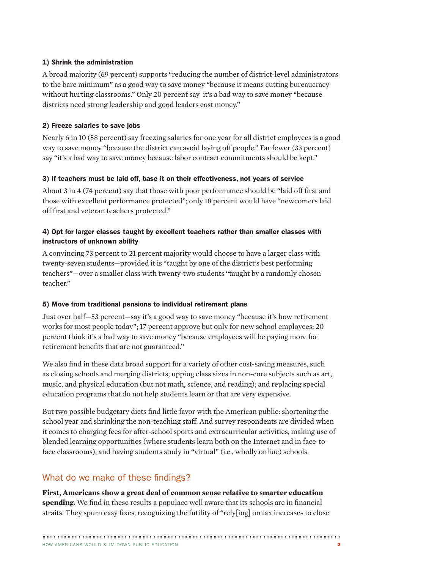#### 1) Shrink the administration

A broad majority (69 percent) supports "reducing the number of district-level administrators to the bare minimum" as a good way to save money "because it means cutting bureaucracy without hurting classrooms." Only 20 percent say it's a bad way to save money "because districts need strong leadership and good leaders cost money."

#### 2) Freeze salaries to save jobs

Nearly 6 in 10 (58 percent) say freezing salaries for one year for all district employees is a good way to save money "because the district can avoid laying off people." Far fewer (33 percent) say "it's a bad way to save money because labor contract commitments should be kept."

#### 3) If teachers must be laid off, base it on their effectiveness, not years of service

About 3 in 4 (74 percent) say that those with poor performance should be "laid off first and those with excellent performance protected"; only 18 percent would have "newcomers laid off first and veteran teachers protected."

#### 4) Opt for larger classes taught by excellent teachers rather than smaller classes with instructors of unknown ability

A convincing 73 percent to 21 percent majority would choose to have a larger class with twenty-seven students—provided it is "taught by one of the district's best performing teachers"—over a smaller class with twenty-two students "taught by a randomly chosen teacher."

#### 5) Move from traditional pensions to individual retirement plans

Just over half—53 percent—say it's a good way to save money "because it's how retirement works for most people today"; 17 percent approve but only for new school employees; 20 percent think it's a bad way to save money "because employees will be paying more for retirement benefits that are not guaranteed."

We also find in these data broad support for a variety of other cost-saving measures, such as closing schools and merging districts; upping class sizes in non-core subjects such as art, music, and physical education (but not math, science, and reading); and replacing special education programs that do not help students learn or that are very expensive.

But two possible budgetary diets find little favor with the American public: shortening the school year and shrinking the non-teaching staff. And survey respondents are divided when it comes to charging fees for after-school sports and extracurricular activities, making use of blended learning opportunities (where students learn both on the Internet and in face-toface classrooms), and having students study in "virtual" (i.e., wholly online) schools.

# What do we make of these findings?

**First, Americans show a great deal of common sense relative to smarter education spending.** We find in these results a populace well aware that its schools are in financial straits. They spurn easy fixes, recognizing the futility of "rely[ing] on tax increases to close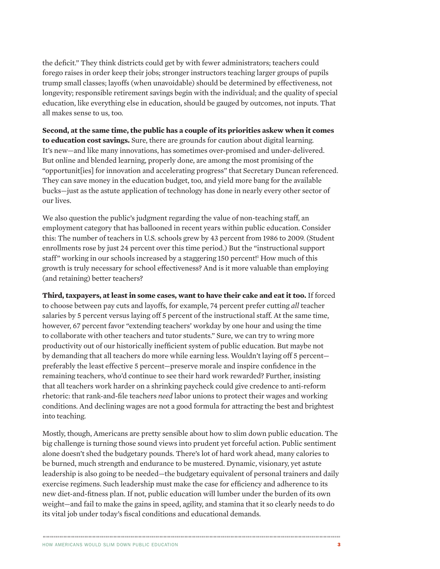the deficit." They think districts could get by with fewer administrators; teachers could forego raises in order keep their jobs; stronger instructors teaching larger groups of pupils trump small classes; layoffs (when unavoidable) should be determined by effectiveness, not longevity; responsible retirement savings begin with the individual; and the quality of special education, like everything else in education, should be gauged by outcomes, not inputs. That all makes sense to us, too.

**Second, at the same time, the public has a couple of its priorities askew when it comes to education cost savings.** Sure, there are grounds for caution about digital learning. It's new—and like many innovations, has sometimes over-promised and under-delivered. But online and blended learning, properly done, are among the most promising of the "opportunit[ies] for innovation and accelerating progress" that Secretary Duncan referenced. They can save money in the education budget, too, and yield more bang for the available bucks—just as the astute application of technology has done in nearly every other sector of our lives.

We also question the public's judgment regarding the value of non-teaching staff, an employment category that has ballooned in recent years within public education. Consider this: The number of teachers in U.S. schools grew by 43 percent from 1986 to 2009. (Student enrollments rose by just 24 percent over this time period.) But the "instructional support staff" working in our schools increased by a staggering 150 percent!<sup>1</sup> How much of this growth is truly necessary for school effectiveness? And is it more valuable than employing (and retaining) better teachers?

**Third, taxpayers, at least in some cases, want to have their cake and eat it too.** If forced to choose between pay cuts and layoffs, for example, 74 percent prefer cutting *all* teacher salaries by 5 percent versus laying off 5 percent of the instructional staff. At the same time, however, 67 percent favor "extending teachers' workday by one hour and using the time to collaborate with other teachers and tutor students." Sure, we can try to wring more productivity out of our historically inefficient system of public education. But maybe not by demanding that all teachers do more while earning less. Wouldn't laying off 5 percent preferably the least effective 5 percent—preserve morale and inspire confidence in the remaining teachers, who'd continue to see their hard work rewarded? Further, insisting that all teachers work harder on a shrinking paycheck could give credence to anti-reform rhetoric: that rank-and-file teachers *need* labor unions to protect their wages and working conditions. And declining wages are not a good formula for attracting the best and brightest into teaching.

Mostly, though, Americans are pretty sensible about how to slim down public education. The big challenge is turning those sound views into prudent yet forceful action. Public sentiment alone doesn't shed the budgetary pounds. There's lot of hard work ahead, many calories to be burned, much strength and endurance to be mustered. Dynamic, visionary, yet astute leadership is also going to be needed—the budgetary equivalent of personal trainers and daily exercise regimens. Such leadership must make the case for efficiency and adherence to its new diet-and-fitness plan. If not, public education will lumber under the burden of its own weight—and fail to make the gains in speed, agility, and stamina that it so clearly needs to do its vital job under today's fiscal conditions and educational demands.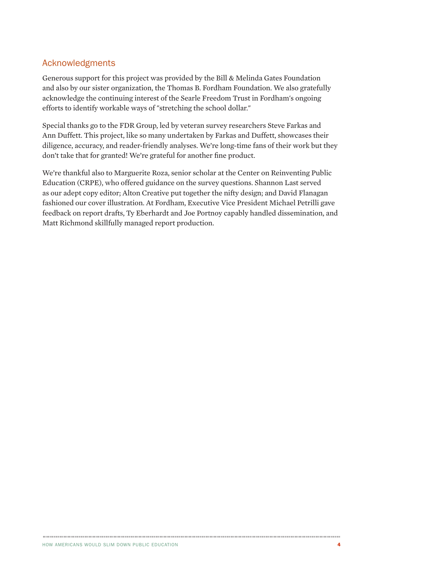### Acknowledgments

Generous support for this project was provided by the Bill & Melinda Gates Foundation and also by our sister organization, the Thomas B. Fordham Foundation. We also gratefully acknowledge the continuing interest of the Searle Freedom Trust in Fordham's ongoing efforts to identify workable ways of "stretching the school dollar."

Special thanks go to the FDR Group, led by veteran survey researchers Steve Farkas and Ann Duffett. This project, like so many undertaken by Farkas and Duffett, showcases their diligence, accuracy, and reader-friendly analyses. We're long-time fans of their work but they don't take that for granted! We're grateful for another fine product.

We're thankful also to Marguerite Roza, senior scholar at the Center on Reinventing Public Education (CRPE), who offered guidance on the survey questions. Shannon Last served as our adept copy editor; Alton Creative put together the nifty design; and David Flanagan fashioned our cover illustration. At Fordham, Executive Vice President Michael Petrilli gave feedback on report drafts, Ty Eberhardt and Joe Portnoy capably handled dissemination, and Matt Richmond skillfully managed report production.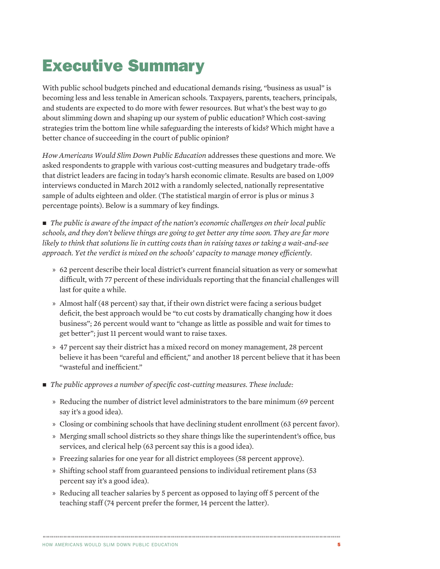# Executive Summary

With public school budgets pinched and educational demands rising, "business as usual" is becoming less and less tenable in American schools. Taxpayers, parents, teachers, principals, and students are expected to do more with fewer resources. But what's the best way to go about slimming down and shaping up our system of public education? Which cost-saving strategies trim the bottom line while safeguarding the interests of kids? Which might have a better chance of succeeding in the court of public opinion?

*How Americans Would Slim Down Public Education* addresses these questions and more. We asked respondents to grapple with various cost-cutting measures and budgetary trade-offs that district leaders are facing in today's harsh economic climate. Results are based on 1,009 interviews conducted in March 2012 with a randomly selected, nationally representative sample of adults eighteen and older. (The statistical margin of error is plus or minus 3 percentage points). Below is a summary of key findings.

■ *The public is aware of the impact of the nation's economic challenges on their local public schools, and they don't believe things are going to get better any time soon. They are far more likely to think that solutions lie in cutting costs than in raising taxes or taking a wait-and-see approach. Yet the verdict is mixed on the schools' capacity to manage money efficiently.*

- » 62 percent describe their local district's current financial situation as very or somewhat difficult, with 77 percent of these individuals reporting that the financial challenges will last for quite a while.
- » Almost half (48 percent) say that, if their own district were facing a serious budget deficit, the best approach would be "to cut costs by dramatically changing how it does business"; 26 percent would want to "change as little as possible and wait for times to get better"; just 11 percent would want to raise taxes.
- » 47 percent say their district has a mixed record on money management, 28 percent believe it has been "careful and efficient," and another 18 percent believe that it has been "wasteful and inefficient."
- n *The public approves a number of specific cost-cutting measures. These include:*
	- » Reducing the number of district level administrators to the bare minimum (69 percent say it's a good idea).
	- » Closing or combining schools that have declining student enrollment (63 percent favor).
	- » Merging small school districts so they share things like the superintendent's office, bus services, and clerical help (63 percent say this is a good idea).
	- » Freezing salaries for one year for all district employees (58 percent approve).
	- » Shifting school staff from guaranteed pensions to individual retirement plans (53 percent say it's a good idea).
	- » Reducing all teacher salaries by 5 percent as opposed to laying off 5 percent of the teaching staff (74 percent prefer the former, 14 percent the latter).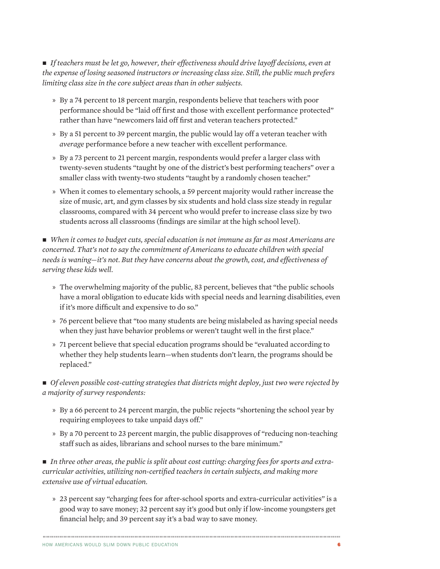■ *If teachers must be let go, however, their effectiveness should drive layoff decisions, even at the expense of losing seasoned instructors or increasing class size. Still, the public much prefers limiting class size in the core subject areas than in other subjects.*

- » By a 74 percent to 18 percent margin, respondents believe that teachers with poor performance should be "laid off first and those with excellent performance protected" rather than have "newcomers laid off first and veteran teachers protected."
- » By a 51 percent to 39 percent margin, the public would lay off a veteran teacher with *average* performance before a new teacher with excellent performance.
- » By a 73 percent to 21 percent margin, respondents would prefer a larger class with twenty-seven students "taught by one of the district's best performing teachers" over a smaller class with twenty-two students "taught by a randomly chosen teacher."
- » When it comes to elementary schools, a 59 percent majority would rather increase the size of music, art, and gym classes by six students and hold class size steady in regular classrooms, compared with 34 percent who would prefer to increase class size by two students across all classrooms (findings are similar at the high school level).

■ *When it comes to budget cuts, special education is not immune as far as most Americans are concerned. That's not to say the commitment of Americans to educate children with special needs is waning—it's not. But they have concerns about the growth, cost, and effectiveness of serving these kids well.*

- » The overwhelming majority of the public, 83 percent, believes that "the public schools have a moral obligation to educate kids with special needs and learning disabilities, even if it's more difficult and expensive to do so."
- » 76 percent believe that "too many students are being mislabeled as having special needs when they just have behavior problems or weren't taught well in the first place."
- » 71 percent believe that special education programs should be "evaluated according to whether they help students learn—when students don't learn, the programs should be replaced."

■ *Of eleven possible cost-cutting strategies that districts might deploy, just two were rejected by a majority of survey respondents:* 

- » By a 66 percent to 24 percent margin, the public rejects "shortening the school year by requiring employees to take unpaid days off."
- » By a 70 percent to 23 percent margin, the public disapproves of "reducing non-teaching staff such as aides, librarians and school nurses to the bare minimum."

■ *In three other areas, the public is split about cost cutting: charging fees for sports and extracurricular activities, utilizing non-certified teachers in certain subjects, and making more extensive use of virtual education.*

» 23 percent say "charging fees for after-school sports and extra-curricular activities" is a good way to save money; 32 percent say it's good but only if low-income youngsters get financial help; and 39 percent say it's a bad way to save money.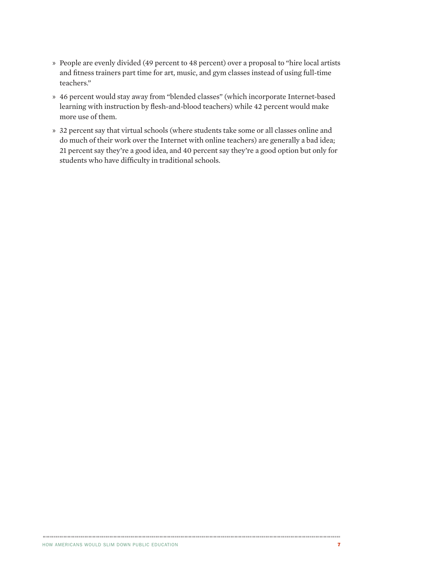- » People are evenly divided (49 percent to 48 percent) over a proposal to "hire local artists and fitness trainers part time for art, music, and gym classes instead of using full-time teachers."
- » 46 percent would stay away from "blended classes" (which incorporate Internet-based learning with instruction by flesh-and-blood teachers) while 42 percent would make more use of them.
- » 32 percent say that virtual schools (where students take some or all classes online and do much of their work over the Internet with online teachers) are generally a bad idea; 21 percent say they're a good idea, and 40 percent say they're a good option but only for students who have difficulty in traditional schools.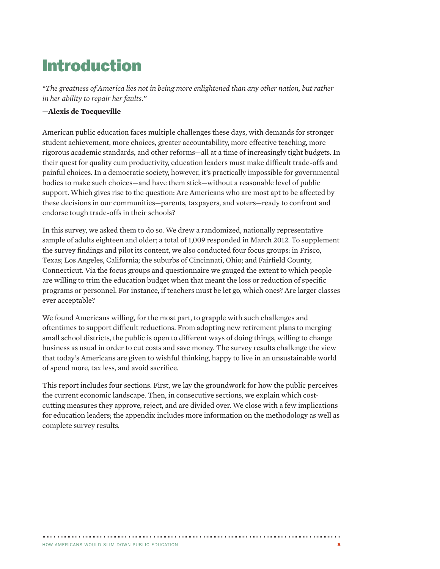# Introduction

*"The greatness of America lies not in being more enlightened than any other nation, but rather in her ability to repair her faults."* 

#### **—Alexis de Tocqueville**

American public education faces multiple challenges these days, with demands for stronger student achievement, more choices, greater accountability, more effective teaching, more rigorous academic standards, and other reforms—all at a time of increasingly tight budgets. In their quest for quality cum productivity, education leaders must make difficult trade-offs and painful choices. In a democratic society, however, it's practically impossible for governmental bodies to make such choices—and have them stick—without a reasonable level of public support. Which gives rise to the question: Are Americans who are most apt to be affected by these decisions in our communities—parents, taxpayers, and voters—ready to confront and endorse tough trade-offs in their schools?

In this survey, we asked them to do so. We drew a randomized, nationally representative sample of adults eighteen and older; a total of 1,009 responded in March 2012. To supplement the survey findings and pilot its content, we also conducted four focus groups: in Frisco, Texas; Los Angeles, California; the suburbs of Cincinnati, Ohio; and Fairfield County, Connecticut. Via the focus groups and questionnaire we gauged the extent to which people are willing to trim the education budget when that meant the loss or reduction of specific programs or personnel. For instance, if teachers must be let go, which ones? Are larger classes ever acceptable?

We found Americans willing, for the most part, to grapple with such challenges and oftentimes to support difficult reductions. From adopting new retirement plans to merging small school districts, the public is open to different ways of doing things, willing to change business as usual in order to cut costs and save money. The survey results challenge the view that today's Americans are given to wishful thinking, happy to live in an unsustainable world of spend more, tax less, and avoid sacrifice.

This report includes four sections. First, we lay the groundwork for how the public perceives the current economic landscape. Then, in consecutive sections, we explain which costcutting measures they approve, reject, and are divided over. We close with a few implications for education leaders; the appendix includes more information on the methodology as well as complete survey results.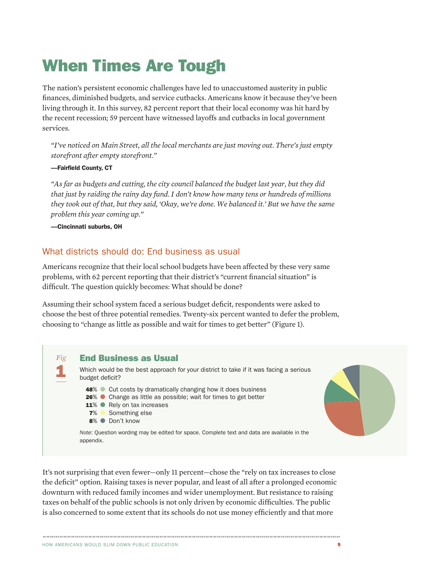# When Times Are Tough

The nation's persistent economic challenges have led to unaccustomed austerity in public finances, diminished budgets, and service cutbacks. Americans know it because they've been living through it. In this survey, 82 percent report that their local economy was hit hard by the recent recession; 59 percent have witnessed layoffs and cutbacks in local government services.

*"I've noticed on Main Street, all the local merchants are just moving out. There's just empty storefront after empty storefront."*

#### —Fairfield County, CT

*"As far as budgets and cutting, the city council balanced the budget last year, but they did that just by raiding the rainy day fund. I don't know how many tens or hundreds of millions they took out of that, but they said, 'Okay, we're done. We balanced it.' But we have the same problem this year coming up."*

—Cincinnati suburbs, OH

### What districts should do: End business as usual

Americans recognize that their local school budgets have been affected by these very same problems, with 62 percent reporting that their district's "current financial situation" is difficult. The question quickly becomes: What should be done?

Assuming their school system faced a serious budget deficit, respondents were asked to choose the best of three potential remedies. Twenty-six percent wanted to defer the problem, choosing to "change as little as possible and wait for times to get better" (Figure 1).



It's not surprising that even fewer—only 11 percent—chose the "rely on tax increases to close the deficit" option. Raising taxes is never popular, and least of all after a prolonged economic downturn with reduced family incomes and wider unemployment. But resistance to raising taxes on behalf of the public schools is not only driven by economic difficulties. The public is also concerned to some extent that its schools do not use money efficiently and that more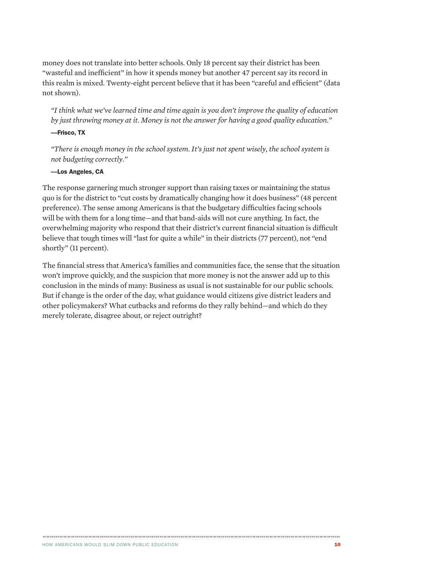money does not translate into better schools. Only 18 percent say their district has been "wasteful and inefficient" in how it spends money but another 47 percent say its record in this realm is mixed. Twenty-eight percent believe that it has been "careful and efficient" (data not shown).

*"I think what we've learned time and time again is you don't improve the quality of education by just throwing money at it. Money is not the answer for having a good quality education."*

#### —Frisco, TX

*"There is enough money in the school system. It's just not spent wisely, the school system is not budgeting correctly."*

#### —Los Angeles, CA

The response garnering much stronger support than raising taxes or maintaining the status quo is for the district to "cut costs by dramatically changing how it does business" (48 percent preference). The sense among Americans is that the budgetary difficulties facing schools will be with them for a long time—and that band-aids will not cure anything. In fact, the overwhelming majority who respond that their district's current financial situation is difficult believe that tough times will "last for quite a while" in their districts (77 percent), not "end shortly" (11 percent).

The financial stress that America's families and communities face, the sense that the situation won't improve quickly, and the suspicion that more money is not the answer add up to this conclusion in the minds of many: Business as usual is not sustainable for our public schools. But if change is the order of the day, what guidance would citizens give district leaders and other policymakers? What cutbacks and reforms do they rally behind—and which do they merely tolerate, disagree about, or reject outright?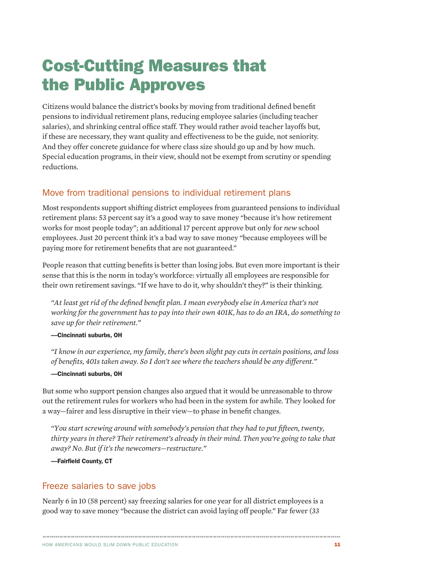# Cost-Cutting Measures that the Public Approves

Citizens would balance the district's books by moving from traditional defined benefit pensions to individual retirement plans, reducing employee salaries (including teacher salaries), and shrinking central office staff. They would rather avoid teacher layoffs but, if these are necessary, they want quality and effectiveness to be the guide, not seniority. And they offer concrete guidance for where class size should go up and by how much. Special education programs, in their view, should not be exempt from scrutiny or spending reductions.

# Move from traditional pensions to individual retirement plans

Most respondents support shifting district employees from guaranteed pensions to individual retirement plans: 53 percent say it's a good way to save money "because it's how retirement works for most people today"; an additional 17 percent approve but only for *new* school employees. Just 20 percent think it's a bad way to save money "because employees will be paying more for retirement benefits that are not guaranteed."

People reason that cutting benefits is better than losing jobs. But even more important is their sense that this is the norm in today's workforce: virtually all employees are responsible for their own retirement savings. "If we have to do it, why shouldn't they?" is their thinking.

*"At least get rid of the defined benefit plan. I mean everybody else in America that's not working for the government has to pay into their own 401K, has to do an IRA, do something to save up for their retirement."*

#### —Cincinnati suburbs, OH

*"I know in our experience, my family, there's been slight pay cuts in certain positions, and loss of benefits, 401s taken away. So I don't see where the teachers should be any different."*

### —Cincinnati suburbs, OH

But some who support pension changes also argued that it would be unreasonable to throw out the retirement rules for workers who had been in the system for awhile. They looked for a way—fairer and less disruptive in their view—to phase in benefit changes.

*"You start screwing around with somebody's pension that they had to put fifteen, twenty, thirty years in there? Their retirement's already in their mind. Then you're going to take that away? No. But if it's the newcomers—restructure."*

—Fairfield County, CT

# Freeze salaries to save jobs

Nearly 6 in 10 (58 percent) say freezing salaries for one year for all district employees is a good way to save money "because the district can avoid laying off people." Far fewer (33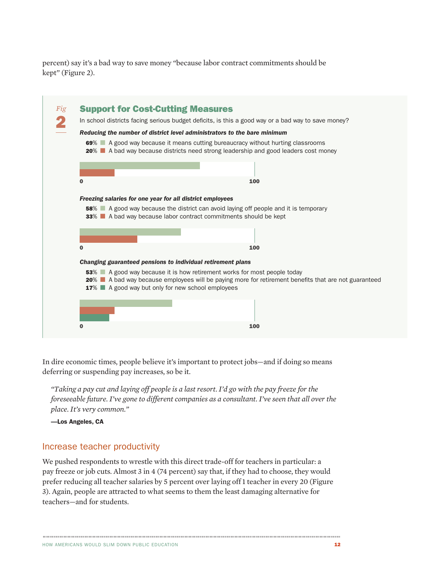percent) say it's a bad way to save money "because labor contract commitments should be kept" (Figure 2).

| Fig |                                                                                                                                                                      | <b>Support for Cost-Cutting Measures</b>                                                                                                                                                                                               |  |  |  |  |
|-----|----------------------------------------------------------------------------------------------------------------------------------------------------------------------|----------------------------------------------------------------------------------------------------------------------------------------------------------------------------------------------------------------------------------------|--|--|--|--|
|     | In school districts facing serious budget deficits, is this a good way or a bad way to save money?                                                                   |                                                                                                                                                                                                                                        |  |  |  |  |
|     | Reducing the number of district level administrators to the bare minimum                                                                                             |                                                                                                                                                                                                                                        |  |  |  |  |
|     | 69% A good way because it means cutting bureaucracy without hurting classrooms<br>20% A bad way because districts need strong leadership and good leaders cost money |                                                                                                                                                                                                                                        |  |  |  |  |
|     |                                                                                                                                                                      |                                                                                                                                                                                                                                        |  |  |  |  |
|     | $\bf{0}$                                                                                                                                                             | 100                                                                                                                                                                                                                                    |  |  |  |  |
|     |                                                                                                                                                                      | Freezing salaries for one year for all district employees<br><b>58%</b> A good way because the district can avoid laying off people and it is temporary<br><b>33%</b> A bad way because labor contract commitments should be kept      |  |  |  |  |
|     |                                                                                                                                                                      |                                                                                                                                                                                                                                        |  |  |  |  |
|     | 0                                                                                                                                                                    | 100                                                                                                                                                                                                                                    |  |  |  |  |
|     |                                                                                                                                                                      | Changing guaranteed pensions to individual retirement plans                                                                                                                                                                            |  |  |  |  |
|     |                                                                                                                                                                      | 53% A good way because it is how retirement works for most people today<br>20% ■ A bad way because employees will be paying more for retirement benefits that are not guaranteed<br>17% ■ A good way but only for new school employees |  |  |  |  |
|     |                                                                                                                                                                      |                                                                                                                                                                                                                                        |  |  |  |  |

In dire economic times, people believe it's important to protect jobs—and if doing so means deferring or suspending pay increases, so be it.

*"Taking a pay cut and laying off people is a last resort. I'd go with the pay freeze for the foreseeable future. I've gone to different companies as a consultant. I've seen that all over the place. It's very common."*

—Los Angeles, CA

### Increase teacher productivity

We pushed respondents to wrestle with this direct trade-off for teachers in particular: a pay freeze or job cuts. Almost 3 in 4 (74 percent) say that, if they had to choose, they would prefer reducing all teacher salaries by 5 percent over laying off 1 teacher in every 20 (Figure 3). Again, people are attracted to what seems to them the least damaging alternative for teachers—and for students.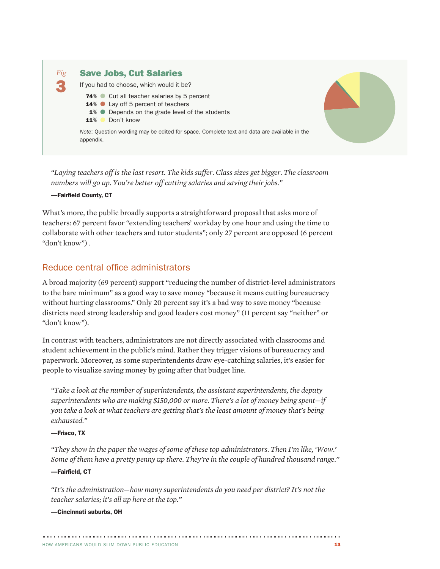

*"Laying teachers off is the last resort. The kids suffer. Class sizes get bigger. The classroom numbers will go up. You're better off cutting salaries and saving their jobs."*

#### —Fairfield County, CT

What's more, the public broadly supports a straightforward proposal that asks more of teachers: 67 percent favor "extending teachers' workday by one hour and using the time to collaborate with other teachers and tutor students"; only 27 percent are opposed (6 percent "don't know") .

### Reduce central office administrators

A broad majority (69 percent) support "reducing the number of district-level administrators to the bare minimum" as a good way to save money "because it means cutting bureaucracy without hurting classrooms." Only 20 percent say it's a bad way to save money "because districts need strong leadership and good leaders cost money" (11 percent say "neither" or "don't know").

In contrast with teachers, administrators are not directly associated with classrooms and student achievement in the public's mind. Rather they trigger visions of bureaucracy and paperwork. Moreover, as some superintendents draw eye-catching salaries, it's easier for people to visualize saving money by going after that budget line.

*"Take a look at the number of superintendents, the assistant superintendents, the deputy superintendents who are making \$150,000 or more. There's a lot of money being spent—if you take a look at what teachers are getting that's the least amount of money that's being exhausted."*

#### —Frisco, TX

*"They show in the paper the wages of some of these top administrators. Then I'm like, 'Wow.' Some of them have a pretty penny up there. They're in the couple of hundred thousand range."*

#### —Fairfield, CT

*"It's the administration—how many superintendents do you need per district? It's not the teacher salaries; it's all up here at the top."*

#### —Cincinnati suburbs, OH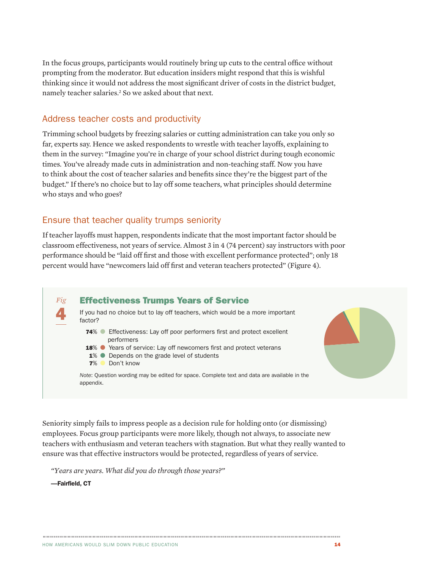In the focus groups, participants would routinely bring up cuts to the central office without prompting from the moderator. But education insiders might respond that this is wishful thinking since it would not address the most significant driver of costs in the district budget, namely teacher salaries.<sup>2</sup> So we asked about that next.

### Address teacher costs and productivity

Trimming school budgets by freezing salaries or cutting administration can take you only so far, experts say. Hence we asked respondents to wrestle with teacher layoffs, explaining to them in the survey: "Imagine you're in charge of your school district during tough economic times. You've already made cuts in administration and non-teaching staff. Now you have to think about the cost of teacher salaries and benefits since they're the biggest part of the budget." If there's no choice but to lay off some teachers, what principles should determine who stays and who goes?

### Ensure that teacher quality trumps seniority

If teacher layoffs must happen, respondents indicate that the most important factor should be classroom effectiveness, not years of service. Almost 3 in 4 (74 percent) say instructors with poor performance should be "laid off first and those with excellent performance protected"; only 18 percent would have "newcomers laid off first and veteran teachers protected" (Figure 4).



Seniority simply fails to impress people as a decision rule for holding onto (or dismissing) employees. Focus group participants were more likely, though not always, to associate new teachers with enthusiasm and veteran teachers with stagnation. But what they really wanted to ensure was that effective instructors would be protected, regardless of years of service.

*"Years are years. What did you do through those years?"* 

—Fairfield, CT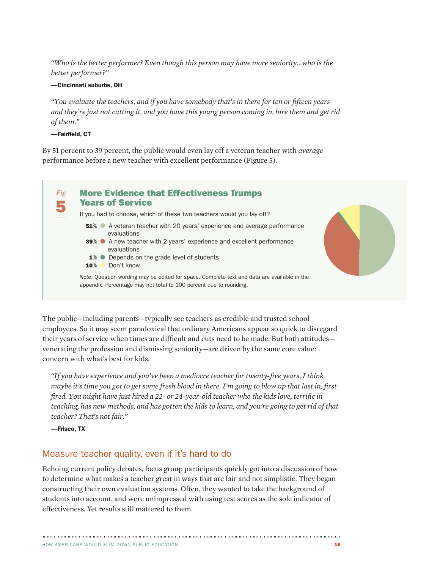*"Who is the better performer? Even though this person may have more seniority…who is the better performer?"*

#### —Cincinnati suburbs, OH

*"You evaluate the teachers, and if you have somebody that's in there for ten or fifteen years and they're just not cutting it, and you have this young person coming in, hire them and get rid of them."*

—Fairfield, CT

By 51 percent to 39 percent, the public would even lay off a veteran teacher with *average* performance before a new teacher with excellent performance (Figure 5).



The public—including parents—typically see teachers as credible and trusted school employees. So it may seem paradoxical that ordinary Americans appear so quick to disregard their years of service when times are difficult and cuts need to be made. But both attitudes venerating the profession and dismissing seniority—are driven by the same core value: concern with what's best for kids.

*"If you have experience and you've been a mediocre teacher for twenty-five years, I think maybe it's time you got to get some fresh blood in there. I'm going to blow up that last in, first fired. You might have just hired a 22- or 24-year-old teacher who the kids love, terrific in teaching, has new methods, and has gotten the kids to learn, and you're going to get rid of that teacher? That's not fair."*

—Frisco, TX

# Measure teacher quality, even if it's hard to do

Echoing current policy debates, focus group participants quickly got into a discussion of how to determine what makes a teacher great in ways that are fair and not simplistic. They began constructing their own evaluation systems. Often, they wanted to take the background of students into account, and were unimpressed with using test scores as the sole indicator of effectiveness. Yet results still mattered to them.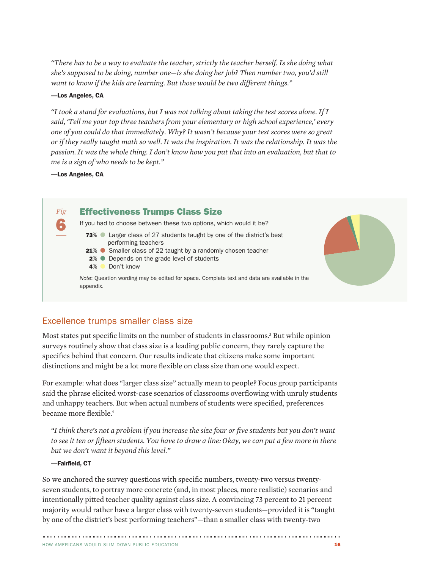*"There has to be a way to evaluate the teacher, strictly the teacher herself. Is she doing what she's supposed to be doing, number one—is she doing her job? Then number two, you'd still want to know if the kids are learning. But those would be two different things."* 

#### —Los Angeles, CA

*"I took a stand for evaluations, but I was not talking about taking the test scores alone. If I said, 'Tell me your top three teachers from your elementary or high school experience,' every one of you could do that immediately. Why? It wasn't because your test scores were so great or if they really taught math so well. It was the inspiration. It was the relationship. It was the passion. It was the whole thing. I don't know how you put that into an evaluation, but that to me is a sign of who needs to be kept."* 

—Los Angeles, CA

*Fig* 6 Effectiveness Trumps Class Size If you had to choose between these two options, which would it be? 73% ● Larger class of 27 students taught by one of the district's best performing teachers **21% ●** Smaller class of 22 taught by a randomly chosen teacher **2% ● Depends on the grade level of students** 4% Don't know *Note*: Question wording may be edited for space. Complete text and data are available in the appendix.



# Excellence trumps smaller class size

Most states put specific limits on the number of students in classrooms.<sup>3</sup> But while opinion surveys routinely show that class size is a leading public concern, they rarely capture the specifics behind that concern. Our results indicate that citizens make some important distinctions and might be a lot more flexible on class size than one would expect.

For example: what does "larger class size" actually mean to people? Focus group participants said the phrase elicited worst-case scenarios of classrooms overflowing with unruly students and unhappy teachers. But when actual numbers of students were specified, preferences became more flexible.4

*"I think there's not a problem if you increase the size four or five students but you don't want to see it ten or fifteen students. You have to draw a line: Okay, we can put a few more in there but we don't want it beyond this level."* 

#### —Fairfield, CT

So we anchored the survey questions with specific numbers, twenty-two versus twentyseven students, to portray more concrete (and, in most places, more realistic) scenarios and intentionally pitted teacher quality against class size. A convincing 73 percent to 21 percent majority would rather have a larger class with twenty-seven students—provided it is "taught by one of the district's best performing teachers"—than a smaller class with twenty-two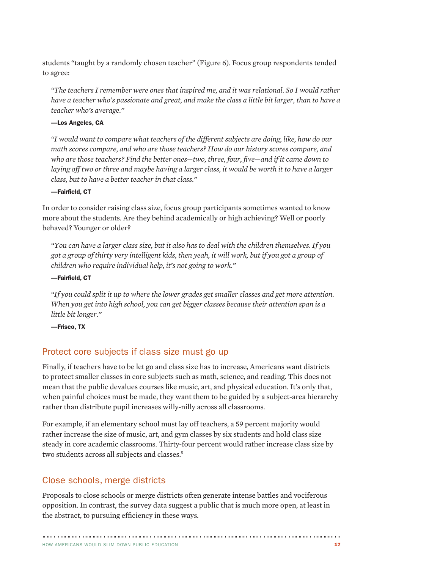students "taught by a randomly chosen teacher" (Figure 6). Focus group respondents tended to agree:

*"The teachers I remember were ones that inspired me, and it was relational. So I would rather have a teacher who's passionate and great, and make the class a little bit larger, than to have a teacher who's average."* 

#### —Los Angeles, CA

*"I would want to compare what teachers of the different subjects are doing, like, how do our math scores compare, and who are those teachers? How do our history scores compare, and who are those teachers? Find the better ones—two, three, four, five—and if it came down to*  laying off two or three and maybe having a larger class, it would be worth it to have a larger *class, but to have a better teacher in that class."* 

#### —Fairfield, CT

In order to consider raising class size, focus group participants sometimes wanted to know more about the students. Are they behind academically or high achieving? Well or poorly behaved? Younger or older?

*"You can have a larger class size, but it also has to deal with the children themselves. If you got a group of thirty very intelligent kids, then yeah, it will work, but if you got a group of children who require individual help, it's not going to work."* 

#### —Fairfield, CT

*"If you could split it up to where the lower grades get smaller classes and get more attention. When you get into high school, you can get bigger classes because their attention span is a little bit longer."* 

—Frisco, TX

# Protect core subjects if class size must go up

Finally, if teachers have to be let go and class size has to increase, Americans want districts to protect smaller classes in core subjects such as math, science, and reading. This does not mean that the public devalues courses like music, art, and physical education. It's only that, when painful choices must be made, they want them to be guided by a subject-area hierarchy rather than distribute pupil increases willy-nilly across all classrooms.

For example, if an elementary school must lay off teachers, a 59 percent majority would rather increase the size of music, art, and gym classes by six students and hold class size steady in core academic classrooms. Thirty-four percent would rather increase class size by two students across all subjects and classes.<sup>5</sup>

### Close schools, merge districts

Proposals to close schools or merge districts often generate intense battles and vociferous opposition. In contrast, the survey data suggest a public that is much more open, at least in the abstract, to pursuing efficiency in these ways.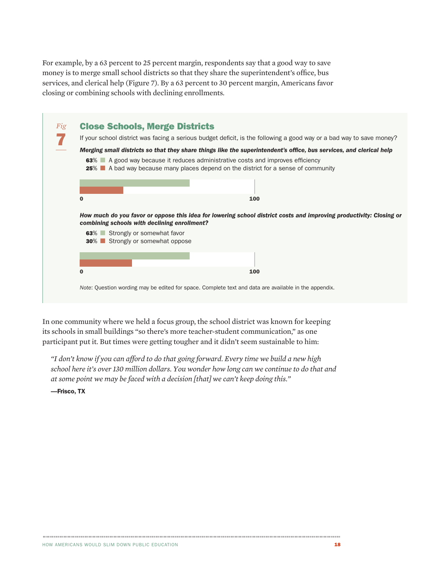For example, by a 63 percent to 25 percent margin, respondents say that a good way to save money is to merge small school districts so that they share the superintendent's office, bus services, and clerical help (Figure 7). By a 63 percent to 30 percent margin, Americans favor closing or combining schools with declining enrollments.

| If your school district was facing a serious budget deficit, is the following a good way or a bad way to save money?                                                  |                                                                                                                                                               |  |  |  |
|-----------------------------------------------------------------------------------------------------------------------------------------------------------------------|---------------------------------------------------------------------------------------------------------------------------------------------------------------|--|--|--|
| Merging small districts so that they share things like the superintendent's office, bus services, and clerical help                                                   |                                                                                                                                                               |  |  |  |
| 63% A good way because it reduces administrative costs and improves efficiency<br>25% ■ A bad way because many places depend on the district for a sense of community |                                                                                                                                                               |  |  |  |
|                                                                                                                                                                       |                                                                                                                                                               |  |  |  |
| 0                                                                                                                                                                     | 100                                                                                                                                                           |  |  |  |
|                                                                                                                                                                       |                                                                                                                                                               |  |  |  |
|                                                                                                                                                                       | combining schools with declining enrollment?                                                                                                                  |  |  |  |
| 63% Strongly or somewhat favor                                                                                                                                        | How much do you favor or oppose this idea for lowering school district costs and improving productivity: Closing or<br><b>30%</b> Strongly or somewhat oppose |  |  |  |
|                                                                                                                                                                       |                                                                                                                                                               |  |  |  |

In one community where we held a focus group, the school district was known for keeping its schools in small buildings "so there's more teacher-student communication," as one participant put it. But times were getting tougher and it didn't seem sustainable to him:

*"I don't know if you can afford to do that going forward. Every time we build a new high school here it's over 130 million dollars. You wonder how long can we continue to do that and at some point we may be faced with a decision [that] we can't keep doing this."* 

—Frisco, TX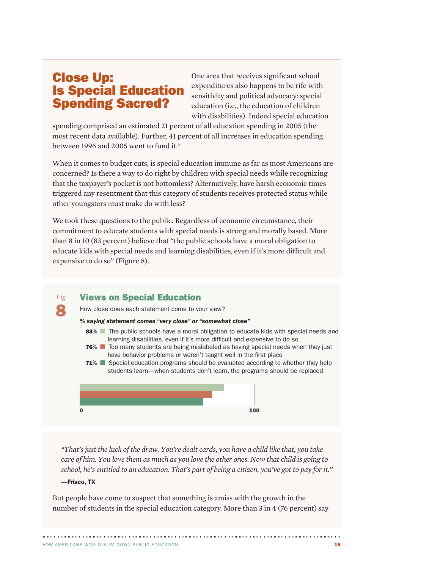# Close Up: Is Special Education Spending Sacred?

One area that receives significant school expenditures also happens to be rife with sensitivity and political advocacy: special education (i.e., the education of children with disabilities). Indeed special education

spending comprised an estimated 21 percent of all education spending in 2005 (the most recent data available). Further, 41 percent of all increases in education spending between 1996 and 2005 went to fund it.<sup>6</sup>

When it comes to budget cuts, is special education immune as far as most Americans are concerned? Is there a way to do right by children with special needs while recognizing that the taxpayer's pocket is not bottomless? Alternatively, have harsh economic times triggered any resentment that this category of students receives protected status while other youngsters must make do with less?

We took these questions to the public. Regardless of economic circumstance, their commitment to educate students with special needs is strong and morally based. More than 8 in 10 (83 percent) believe that "the public schools have a moral obligation to educate kids with special needs and learning disabilities, even if it's more difficult and expensive to do so" (Figure 8).

#### *Fig* Views on Special Education

How close does each statement come to your view?

#### *% saying statement comes "very close" or "somewhat close"*

- 83% The public schools have a moral obligation to educate kids with special needs and learning disabilities, even if it's more difficult and expensive to do so
- **76**% Too many students are being mislabeled as having special needs when they just have behavior problems or weren't taught well in the first place
- 71% Special education programs should be evaluated according to whether they help students learn—when students don't learn, the programs should be replaced



*"That's just the luck of the draw. You're dealt cards, you have a child like that, you take care of him. You love them as much as you love the other ones. Now that child is going to school, he's entitled to an education. That's part of being a citizen, you've got to pay for it."*

#### —Frisco, TX

8

But people have come to suspect that something is amiss with the growth in the number of students in the special education category. More than 3 in 4 (76 percent) say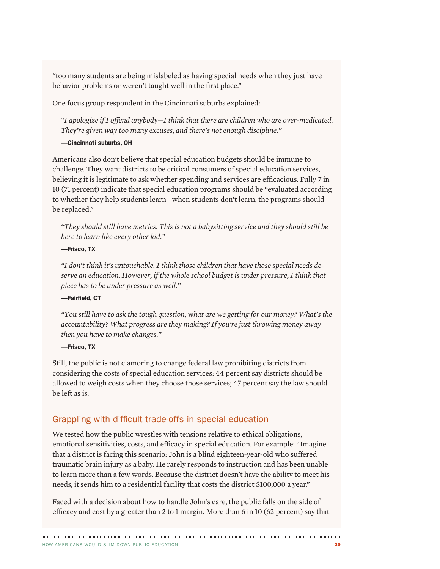"too many students are being mislabeled as having special needs when they just have behavior problems or weren't taught well in the first place."

One focus group respondent in the Cincinnati suburbs explained:

*"I apologize if I offend anybody—I think that there are children who are over-medicated. They're given way too many excuses, and there's not enough discipline."* 

#### —Cincinnati suburbs, OH

Americans also don't believe that special education budgets should be immune to challenge. They want districts to be critical consumers of special education services, believing it is legitimate to ask whether spending and services are efficacious. Fully 7 in 10 (71 percent) indicate that special education programs should be "evaluated according to whether they help students learn—when students don't learn, the programs should be replaced."

*"They should still have metrics. This is not a babysitting service and they should still be here to learn like every other kid."*

#### —Frisco, TX

*"I don't think it's untouchable. I think those children that have those special needs deserve an education. However, if the whole school budget is under pressure, I think that piece has to be under pressure as well."*

#### —Fairfield, CT

*"You still have to ask the tough question, what are we getting for our money? What's the accountability? What progress are they making? If you're just throwing money away then you have to make changes."*

#### —Frisco, TX

Still, the public is not clamoring to change federal law prohibiting districts from considering the costs of special education services: 44 percent say districts should be allowed to weigh costs when they choose those services; 47 percent say the law should be left as is.

# Grappling with difficult trade-offs in special education

We tested how the public wrestles with tensions relative to ethical obligations, emotional sensitivities, costs, and efficacy in special education. For example: "Imagine that a district is facing this scenario: John is a blind eighteen-year-old who suffered traumatic brain injury as a baby. He rarely responds to instruction and has been unable to learn more than a few words. Because the district doesn't have the ability to meet his needs, it sends him to a residential facility that costs the district \$100,000 a year."

Faced with a decision about how to handle John's care, the public falls on the side of efficacy and cost by a greater than 2 to 1 margin. More than 6 in 10 (62 percent) say that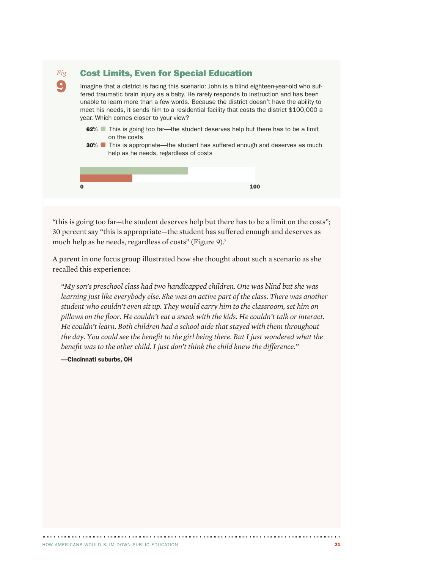

"this is going too far—the student deserves help but there has to be a limit on the costs"; 30 percent say "this is appropriate—the student has suffered enough and deserves as much help as he needs, regardless of costs" (Figure 9).<sup>7</sup>

A parent in one focus group illustrated how she thought about such a scenario as she recalled this experience:

*"My son's preschool class had two handicapped children. One was blind but she was learning just like everybody else. She was an active part of the class. There was another student who couldn't even sit up. They would carry him to the classroom, set him on pillows on the floor. He couldn't eat a snack with the kids. He couldn't talk or interact. He couldn't learn. Both children had a school aide that stayed with them throughout the day. You could see the benefit to the girl being there. But I just wondered what the benefit was to the other child. I just don't think the child knew the difference."*

—Cincinnati suburbs, OH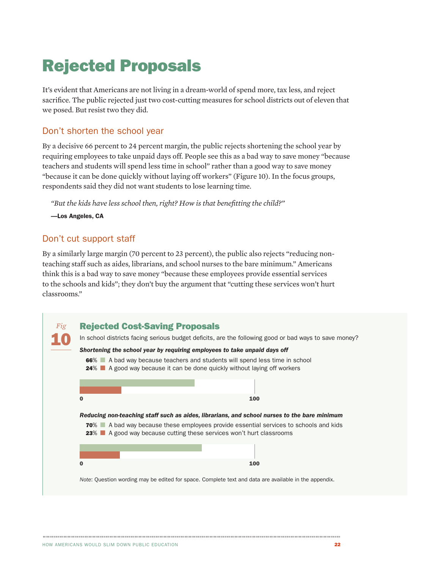# Rejected Proposals

It's evident that Americans are not living in a dream-world of spend more, tax less, and reject sacrifice. The public rejected just two cost-cutting measures for school districts out of eleven that we posed. But resist two they did.

### Don't shorten the school year

By a decisive 66 percent to 24 percent margin, the public rejects shortening the school year by requiring employees to take unpaid days off. People see this as a bad way to save money "because teachers and students will spend less time in school" rather than a good way to save money "because it can be done quickly without laying off workers" (Figure 10). In the focus groups, respondents said they did not want students to lose learning time.

*"But the kids have less school then, right? How is that benefitting the child?"*

—Los Angeles, CA

# Don't cut support staff

By a similarly large margin (70 percent to 23 percent), the public also rejects "reducing nonteaching staff such as aides, librarians, and school nurses to the bare minimum." Americans think this is a bad way to save money "because these employees provide essential services to the schools and kids"; they don't buy the argument that "cutting these services won't hurt classrooms."

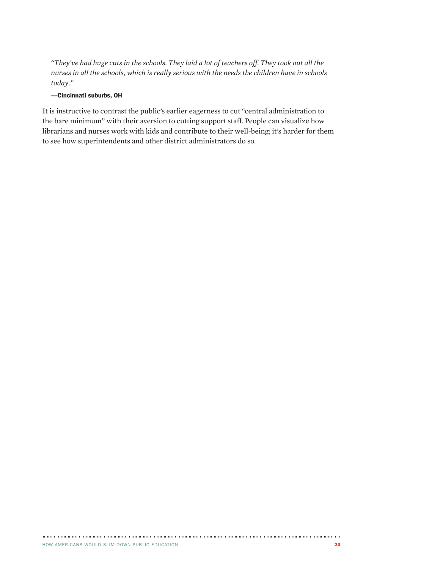*"They've had huge cuts in the schools. They laid a lot of teachers off. They took out all the nurses in all the schools, which is really serious with the needs the children have in schools today."*

#### —Cincinnati suburbs, OH

It is instructive to contrast the public's earlier eagerness to cut "central administration to the bare minimum" with their aversion to cutting support staff. People can visualize how librarians and nurses work with kids and contribute to their well-being; it's harder for them to see how superintendents and other district administrators do so.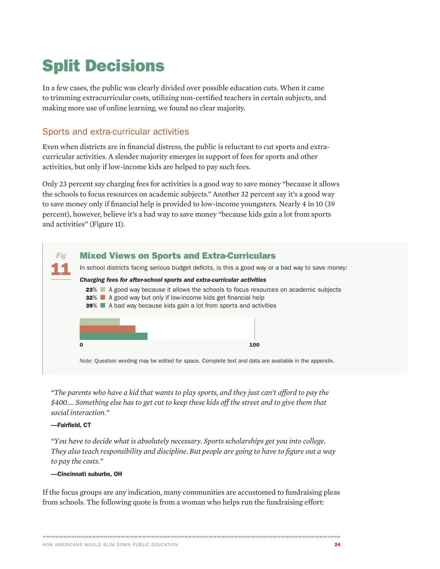# Split Decisions

In a few cases, the public was clearly divided over possible education cuts. When it came to trimming extracurricular costs, utilizing non-certified teachers in certain subjects, and making more use of online learning, we found no clear majority.

# Sports and extra-curricular activities

Even when districts are in financial distress, the public is reluctant to cut sports and extracurricular activities. A slender majority emerges in support of fees for sports and other activities, but only if low-income kids are helped to pay such fees.

Only 23 percent say charging fees for activities is a good way to save money "because it allows the schools to focus resources on academic subjects." Another 32 percent say it's a good way to save money only if financial help is provided to low-income youngsters. Nearly 4 in 10 (39 percent), however, believe it's a bad way to save money "because kids gain a lot from sports and activities" (Figure 11).



*"The parents who have a kid that wants to play sports, and they just can't afford to pay the \$400.... Something else has to get cut to keep these kids off the street and to give them that social interaction."*

#### —Fairfield, CT

*"You have to decide what is absolutely necessary. Sports scholarships get you into college. They also teach responsibility and discipline. But people are going to have to figure out a way to pay the costs."*

#### —Cincinnati suburbs, OH

If the focus groups are any indication, many communities are accustomed to fundraising pleas from schools. The following quote is from a woman who helps run the fundraising effort: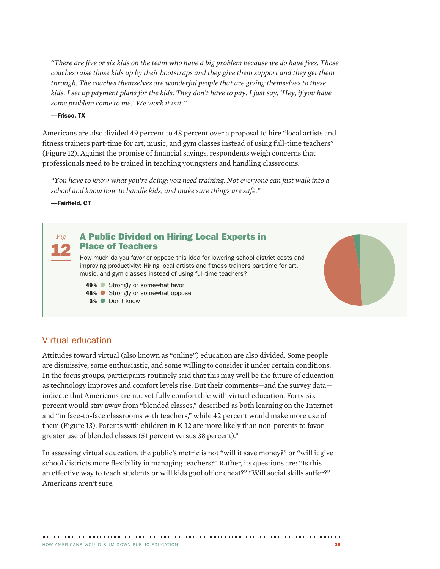*"There are five or six kids on the team who have a big problem because we do have fees. Those coaches raise those kids up by their bootstraps and they give them support and they get them through. The coaches themselves are wonderful people that are giving themselves to these kids. I set up payment plans for the kids. They don't have to pay. I just say, 'Hey, if you have some problem come to me.' We work it out."*

#### —Frisco, TX

Americans are also divided 49 percent to 48 percent over a proposal to hire "local artists and fitness trainers part-time for art, music, and gym classes instead of using full-time teachers" (Figure 12). Against the promise of financial savings, respondents weigh concerns that professionals need to be trained in teaching youngsters and handling classrooms.

*"You have to know what you're doing; you need training. Not everyone can just walk into a school and know how to handle kids, and make sure things are safe."*

—Fairfield, CT

*Fig*

#### 12 A Public Divided on Hiring Local Experts in Place of Teachers

How much do you favor or oppose this idea for lowering school district costs and improving productivity: Hiring local artists and fitness trainers part-time for art, music, and gym classes instead of using full-time teachers?

49% Strongly or somewhat favor

48% Strongly or somewhat oppose

3% ● Don't know

# Virtual education

Attitudes toward virtual (also known as "online") education are also divided. Some people are dismissive, some enthusiastic, and some willing to consider it under certain conditions. In the focus groups, participants routinely said that this may well be the future of education as technology improves and comfort levels rise. But their comments—and the survey data indicate that Americans are not yet fully comfortable with virtual education. Forty-six percent would stay away from "blended classes," described as both learning on the Internet and "in face-to-face classrooms with teachers," while 42 percent would make more use of them (Figure 13). Parents with children in K-12 are more likely than non-parents to favor greater use of blended classes (51 percent versus 38 percent).8

In assessing virtual education, the public's metric is not "will it save money?" or "will it give school districts more flexibility in managing teachers?" Rather, its questions are: "Is this an effective way to teach students or will kids goof off or cheat?" "Will social skills suffer?" Americans aren't sure.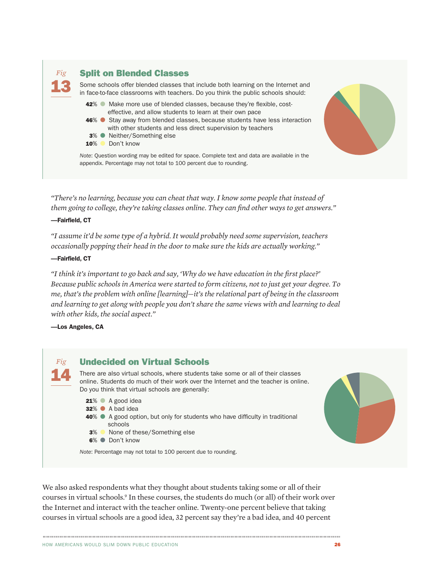

*"There's no learning, because you can cheat that way. I know some people that instead of them going to college, they're taking classes online. They can find other ways to get answers."*

#### —Fairfield, CT

*"I assume it'd be some type of a hybrid. It would probably need some supervision, teachers occasionally popping their head in the door to make sure the kids are actually working."*

#### —Fairfield, CT

*"I think it's important to go back and say, 'Why do we have education in the first place?' Because public schools in America were started to form citizens, not to just get your degree. To me, that's the problem with online [learning]—it's the relational part of being in the classroom and learning to get along with people you don't share the same views with and learning to deal with other kids, the social aspect."*

—Los Angeles, CA



We also asked respondents what they thought about students taking some or all of their courses in virtual schools.9 In these courses, the students do much (or all) of their work over the Internet and interact with the teacher online. Twenty-one percent believe that taking courses in virtual schools are a good idea, 32 percent say they're a bad idea, and 40 percent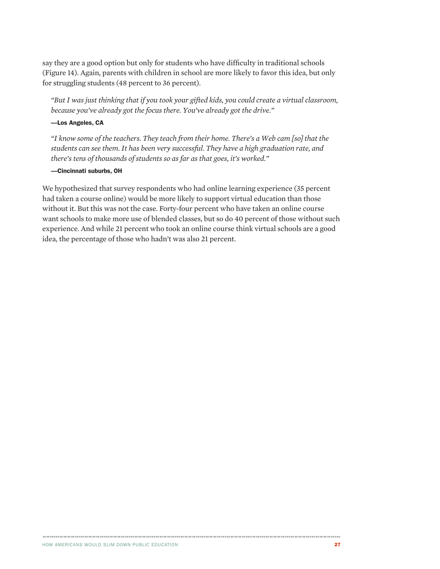say they are a good option but only for students who have difficulty in traditional schools (Figure 14). Again, parents with children in school are more likely to favor this idea, but only for struggling students (48 percent to 36 percent).

*"But I was just thinking that if you took your gifted kids, you could create a virtual classroom, because you've already got the focus there. You've already got the drive."*

#### —Los Angeles, CA

*"I know some of the teachers. They teach from their home. There's a Web cam [so] that the students can see them. It has been very successful. They have a high graduation rate, and there's tens of thousands of students so as far as that goes, it's worked."*

#### —Cincinnati suburbs, OH

We hypothesized that survey respondents who had online learning experience (35 percent had taken a course online) would be more likely to support virtual education than those without it. But this was not the case. Forty-four percent who have taken an online course want schools to make more use of blended classes, but so do 40 percent of those without such experience. And while 21 percent who took an online course think virtual schools are a good idea, the percentage of those who hadn't was also 21 percent.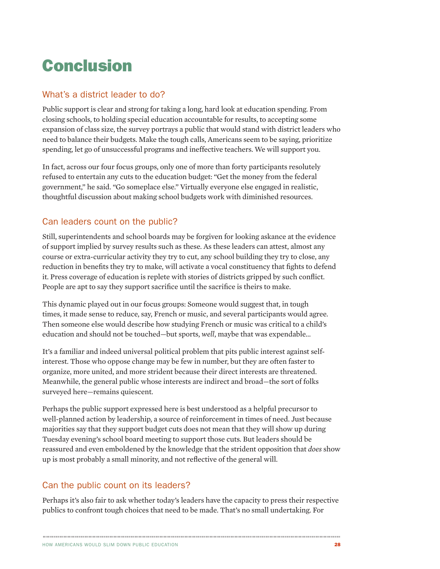# Conclusion

# What's a district leader to do?

Public support is clear and strong for taking a long, hard look at education spending. From closing schools, to holding special education accountable for results, to accepting some expansion of class size, the survey portrays a public that would stand with district leaders who need to balance their budgets. Make the tough calls, Americans seem to be saying, prioritize spending, let go of unsuccessful programs and ineffective teachers. We will support you.

In fact, across our four focus groups, only one of more than forty participants resolutely refused to entertain any cuts to the education budget: "Get the money from the federal government," he said. "Go someplace else." Virtually everyone else engaged in realistic, thoughtful discussion about making school budgets work with diminished resources.

# Can leaders count on the public?

Still, superintendents and school boards may be forgiven for looking askance at the evidence of support implied by survey results such as these. As these leaders can attest, almost any course or extra-curricular activity they try to cut, any school building they try to close, any reduction in benefits they try to make, will activate a vocal constituency that fights to defend it. Press coverage of education is replete with stories of districts gripped by such conflict. People are apt to say they support sacrifice until the sacrifice is theirs to make.

This dynamic played out in our focus groups: Someone would suggest that, in tough times, it made sense to reduce, say, French or music, and several participants would agree. Then someone else would describe how studying French or music was critical to a child's education and should not be touched—but sports, *well*, maybe that was expendable...

It's a familiar and indeed universal political problem that pits public interest against selfinterest. Those who oppose change may be few in number, but they are often faster to organize, more united, and more strident because their direct interests are threatened. Meanwhile, the general public whose interests are indirect and broad—the sort of folks surveyed here—remains quiescent.

Perhaps the public support expressed here is best understood as a helpful precursor to well-planned action by leadership, a source of reinforcement in times of need. Just because majorities say that they support budget cuts does not mean that they will show up during Tuesday evening's school board meeting to support those cuts. But leaders should be reassured and even emboldened by the knowledge that the strident opposition that *does* show up is most probably a small minority, and not reflective of the general will.

# Can the public count on its leaders?

Perhaps it's also fair to ask whether today's leaders have the capacity to press their respective publics to confront tough choices that need to be made. That's no small undertaking. For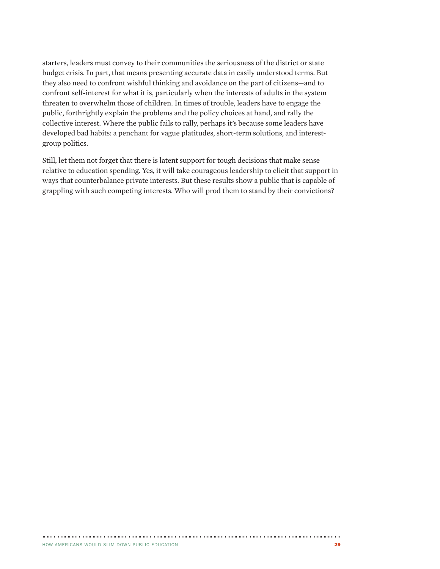starters, leaders must convey to their communities the seriousness of the district or state budget crisis. In part, that means presenting accurate data in easily understood terms. But they also need to confront wishful thinking and avoidance on the part of citizens—and to confront self-interest for what it is, particularly when the interests of adults in the system threaten to overwhelm those of children. In times of trouble, leaders have to engage the public, forthrightly explain the problems and the policy choices at hand, and rally the collective interest. Where the public fails to rally, perhaps it's because some leaders have developed bad habits: a penchant for vague platitudes, short-term solutions, and interestgroup politics.

Still, let them not forget that there is latent support for tough decisions that make sense relative to education spending. Yes, it will take courageous leadership to elicit that support in ways that counterbalance private interests. But these results show a public that is capable of grappling with such competing interests. Who will prod them to stand by their convictions?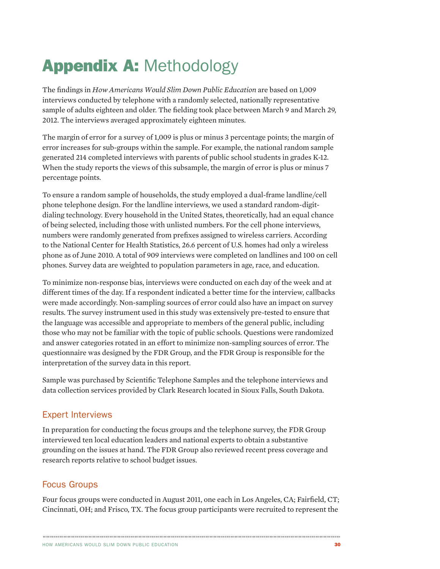# Appendix A: Methodology

The findings in *How Americans Would Slim Down Public Education* are based on 1,009 interviews conducted by telephone with a randomly selected, nationally representative sample of adults eighteen and older. The fielding took place between March 9 and March 29, 2012. The interviews averaged approximately eighteen minutes.

The margin of error for a survey of 1,009 is plus or minus 3 percentage points; the margin of error increases for sub-groups within the sample. For example, the national random sample generated 214 completed interviews with parents of public school students in grades K-12. When the study reports the views of this subsample, the margin of error is plus or minus 7 percentage points.

To ensure a random sample of households, the study employed a dual-frame landline/cell phone telephone design. For the landline interviews, we used a standard random-digitdialing technology. Every household in the United States, theoretically, had an equal chance of being selected, including those with unlisted numbers. For the cell phone interviews, numbers were randomly generated from prefixes assigned to wireless carriers. According to the National Center for Health Statistics, 26.6 percent of U.S. homes had only a wireless phone as of June 2010. A total of 909 interviews were completed on landlines and 100 on cell phones. Survey data are weighted to population parameters in age, race, and education.

To minimize non-response bias, interviews were conducted on each day of the week and at different times of the day. If a respondent indicated a better time for the interview, callbacks were made accordingly. Non-sampling sources of error could also have an impact on survey results. The survey instrument used in this study was extensively pre-tested to ensure that the language was accessible and appropriate to members of the general public, including those who may not be familiar with the topic of public schools. Questions were randomized and answer categories rotated in an effort to minimize non-sampling sources of error. The questionnaire was designed by the FDR Group, and the FDR Group is responsible for the interpretation of the survey data in this report.

Sample was purchased by Scientific Telephone Samples and the telephone interviews and data collection services provided by Clark Research located in Sioux Falls, South Dakota.

# Expert Interviews

In preparation for conducting the focus groups and the telephone survey, the FDR Group interviewed ten local education leaders and national experts to obtain a substantive grounding on the issues at hand. The FDR Group also reviewed recent press coverage and research reports relative to school budget issues.

# Focus Groups

Four focus groups were conducted in August 2011, one each in Los Angeles, CA; Fairfield, CT; Cincinnati, OH; and Frisco, TX. The focus group participants were recruited to represent the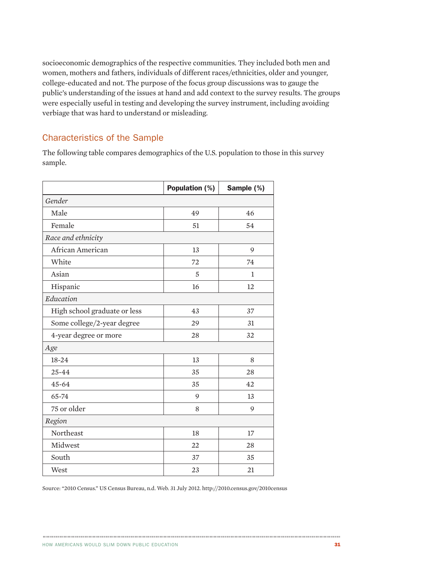socioeconomic demographics of the respective communities. They included both men and women, mothers and fathers, individuals of different races/ethnicities, older and younger, college-educated and not. The purpose of the focus group discussions was to gauge the public's understanding of the issues at hand and add context to the survey results. The groups were especially useful in testing and developing the survey instrument, including avoiding verbiage that was hard to understand or misleading.

# Characteristics of the Sample

The following table compares demographics of the U.S. population to those in this survey sample.

|                              | Population (%) | Sample (%) |  |  |  |  |
|------------------------------|----------------|------------|--|--|--|--|
| Gender                       |                |            |  |  |  |  |
| Male                         | 49             | 46         |  |  |  |  |
| Female                       | 51             | 54         |  |  |  |  |
| Race and ethnicity           |                |            |  |  |  |  |
| African American             | 13             | 9          |  |  |  |  |
| White                        | 72             | 74         |  |  |  |  |
| Asian                        | 5              | 1          |  |  |  |  |
| Hispanic                     | 16             | 12         |  |  |  |  |
| Education                    |                |            |  |  |  |  |
| High school graduate or less | 43             | 37         |  |  |  |  |
| Some college/2-year degree   | 29             | 31         |  |  |  |  |
| 4-year degree or more        | 28             | 32         |  |  |  |  |
| Age                          |                |            |  |  |  |  |
| 18-24                        | 13             | 8          |  |  |  |  |
| $25 - 44$                    | 35             | 28         |  |  |  |  |
| $45 - 64$                    | 35             | 42         |  |  |  |  |
| 65-74                        | 9              | 13         |  |  |  |  |
| 75 or older                  | 8              | 9          |  |  |  |  |
| Region                       |                |            |  |  |  |  |
| Northeast                    | 18             | 17         |  |  |  |  |
| Midwest                      | 22             | 28         |  |  |  |  |
| South                        | 37             | 35         |  |  |  |  |
| West                         | 23             | 21         |  |  |  |  |

Source: "2010 Census." US Census Bureau, n.d. Web. 31 July 2012. http://2010.census.gov/2010census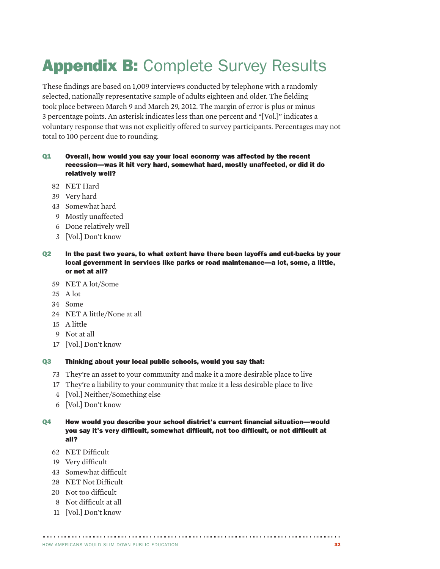# **Appendix B: Complete Survey Results**

These findings are based on 1,009 interviews conducted by telephone with a randomly selected, nationally representative sample of adults eighteen and older. The fielding took place between March 9 and March 29, 2012. The margin of error is plus or minus 3 percentage points. An asterisk indicates less than one percent and "[Vol.]" indicates a voluntary response that was not explicitly offered to survey participants. Percentages may not total to 100 percent due to rounding.

#### Q1 Overall, how would you say your local economy was affected by the recent recession—was it hit very hard, somewhat hard, mostly unaffected, or did it do relatively well?

- 82 NET Hard
- 39 Very hard
- 43 Somewhat hard
- 9 Mostly unaffected
- 6 Done relatively well
- 3 [Vol.] Don't know

#### Q2 In the past two years, to what extent have there been layoffs and cut-backs by your local government in services like parks or road maintenance—a lot, some, a little, or not at all?

- 59 NET A lot/Some
- 25 A lot
- 34 Some
- 24 NET A little/None at all
- 15 A little
- 9 Not at all
- 17 [Vol.] Don't know

#### Q3 Thinking about your local public schools, would you say that:

- 73 They're an asset to your community and make it a more desirable place to live
- 17 They're a liability to your community that make it a less desirable place to live
- 4 [Vol.] Neither/Something else
- 6 [Vol.] Don't know

#### Q4 How would you describe your school district's current financial situation—would you say it's very difficult, somewhat difficult, not too difficult, or not difficult at all?

- 62 NET Difficult
- 19 Very difficult
- 43 Somewhat difficult
- 28 NET Not Difficult
- 20 Not too difficult
- 8 Not difficult at all
- 11 [Vol.] Don't know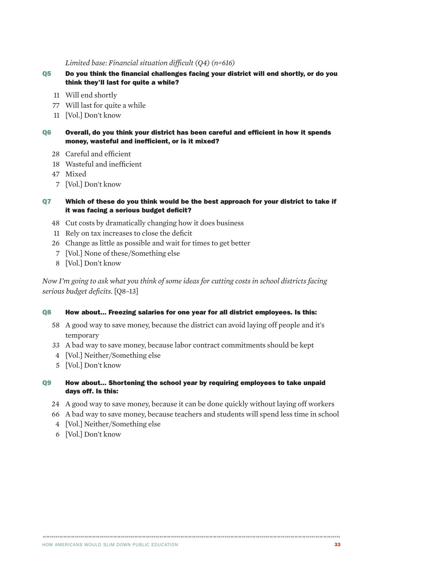#### *Limited base: Financial situation difficult (Q4) (n=616)*

- Q5 Do you think the financial challenges facing your district will end shortly, or do you think they'll last for quite a while?
	- 11 Will end shortly
	- 77 Will last for quite a while
	- 11 [Vol.] Don't know
- Q6 Overall, do you think your district has been careful and efficient in how it spends money, wasteful and inefficient, or is it mixed?
	- 28 Careful and efficient
	- 18 Wasteful and inefficient
	- 47 Mixed
	- 7 [Vol.] Don't know

#### Q7 Which of these do you think would be the best approach for your district to take if it was facing a serious budget deficit?

- 48 Cut costs by dramatically changing how it does business
- 11 Rely on tax increases to close the deficit
- 26 Change as little as possible and wait for times to get better
- 7 [Vol.] None of these/Something else
- 8 [Vol.] Don't know

*Now I'm going to ask what you think of some ideas for cutting costs in school districts facing serious budget deficits.* [Q8–13]

#### Q8 How about... Freezing salaries for one year for all district employees. Is this:

- 58 A good way to save money, because the district can avoid laying off people and it's temporary
- 33 A bad way to save money, because labor contract commitments should be kept
- 4 [Vol.] Neither/Something else
- 5 [Vol.] Don't know
- Q9 How about... Shortening the school year by requiring employees to take unpaid days off. Is this:
	- 24 A good way to save money, because it can be done quickly without laying off workers

- 66 A bad way to save money, because teachers and students will spend less time in school
- 4 [Vol.] Neither/Something else
- 6 [Vol.] Don't know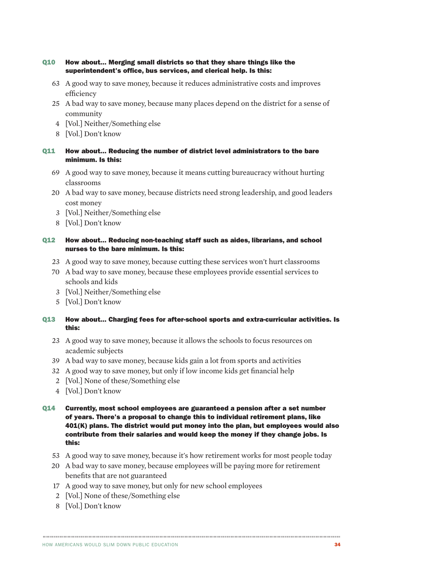#### Q10 How about... Merging small districts so that they share things like the superintendent's office, bus services, and clerical help. Is this:

- 63 A good way to save money, because it reduces administrative costs and improves efficiency
- 25 A bad way to save money, because many places depend on the district for a sense of community
- 4 [Vol.] Neither/Something else
- 8 [Vol.] Don't know

#### Q11 How about... Reducing the number of district level administrators to the bare minimum. Is this:

- 69 A good way to save money, because it means cutting bureaucracy without hurting classrooms
- 20 A bad way to save money, because districts need strong leadership, and good leaders cost money
- 3 [Vol.] Neither/Something else
- 8 [Vol.] Don't know

#### Q12 How about... Reducing non-teaching staff such as aides, librarians, and school nurses to the bare minimum. Is this:

- 23 A good way to save money, because cutting these services won't hurt classrooms
- 70 A bad way to save money, because these employees provide essential services to schools and kids
- 3 [Vol.] Neither/Something else
- 5 [Vol.] Don't know

#### Q13 How about... Charging fees for after-school sports and extra-curricular activities. Is this:

- 23 A good way to save money, because it allows the schools to focus resources on academic subjects
- 39 A bad way to save money, because kids gain a lot from sports and activities
- 32 A good way to save money, but only if low income kids get financial help
- 2 [Vol.] None of these/Something else
- 4 [Vol.] Don't know
- Q14 Currently, most school employees are guaranteed a pension after a set number of years. There's a proposal to change this to individual retirement plans, like 401(K) plans. The district would put money into the plan, but employees would also contribute from their salaries and would keep the money if they change jobs. Is this:
	- 53 A good way to save money, because it's how retirement works for most people today

- 20 A bad way to save money, because employees will be paying more for retirement benefits that are not guaranteed
- 17 A good way to save money, but only for new school employees
- 2 [Vol.] None of these/Something else
- 8 [Vol.] Don't know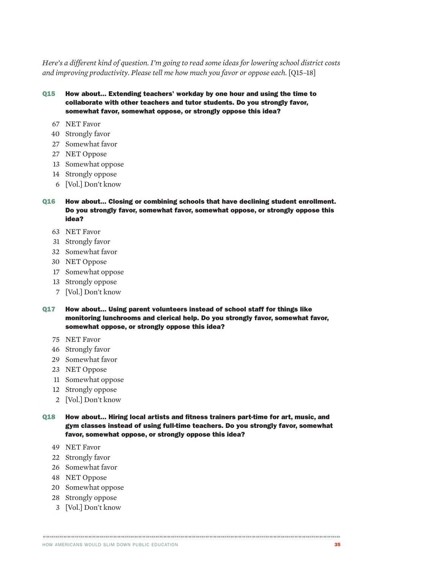*Here's a different kind of question. I'm going to read some ideas for lowering school district costs and improving productivity. Please tell me how much you favor or oppose each.* [Q15–18]

Q15 How about... Extending teachers' workday by one hour and using the time to collaborate with other teachers and tutor students. Do you strongly favor, somewhat favor, somewhat oppose, or strongly oppose this idea?

- NET Favor
- Strongly favor
- Somewhat favor
- NET Oppose
- Somewhat oppose
- Strongly oppose
- [Vol.] Don't know
- Q16 How about... Closing or combining schools that have declining student enrollment. Do you strongly favor, somewhat favor, somewhat oppose, or strongly oppose this idea?
	- NET Favor
	- Strongly favor
	- Somewhat favor
	- NET Oppose
	- Somewhat oppose
	- Strongly oppose
	- [Vol.] Don't know
- Q17 How about... Using parent volunteers instead of school staff for things like monitoring lunchrooms and clerical help. Do you strongly favor, somewhat favor, somewhat oppose, or strongly oppose this idea?
	- NET Favor
	- Strongly favor
	- Somewhat favor
	- NET Oppose
	- Somewhat oppose
	- Strongly oppose
	- [Vol.] Don't know
- Q18 How about... Hiring local artists and fitness trainers part-time for art, music, and gym classes instead of using full-time teachers. Do you strongly favor, somewhat favor, somewhat oppose, or strongly oppose this idea?

- NET Favor
- Strongly favor
- Somewhat favor
- NET Oppose
- Somewhat oppose
- Strongly oppose
- [Vol.] Don't know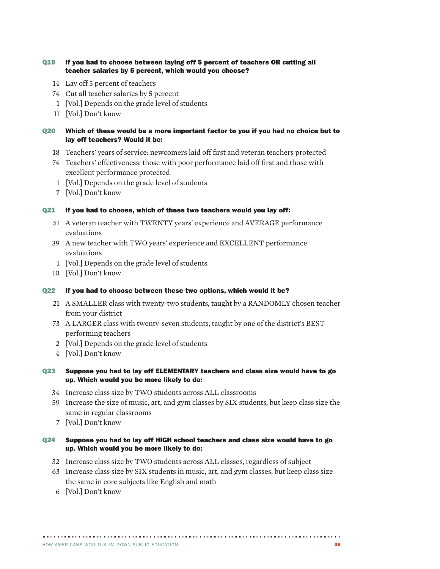#### Q19 If you had to choose between laying off 5 percent of teachers OR cutting all teacher salaries by 5 percent, which would you choose?

- 14 Lay off 5 percent of teachers
- 74 Cut all teacher salaries by 5 percent
- 1 [Vol.] Depends on the grade level of students
- 11 [Vol.] Don't know

#### Q20 Which of these would be a more important factor to you if you had no choice but to lay off teachers? Would it be:

- 18 Teachers' years of service: newcomers laid off first and veteran teachers protected
- 74 Teachers' effectiveness: those with poor performance laid off first and those with excellent performance protected
- 1 [Vol.] Depends on the grade level of students
- 7 [Vol.] Don't know

#### Q21 If you had to choose, which of these two teachers would you lay off:

- 51 A veteran teacher with TWENTY years' experience and AVERAGE performance evaluations
- 39 A new teacher with TWO years' experience and EXCELLENT performance evaluations
- 1 [Vol.] Depends on the grade level of students
- 10 [Vol.] Don't know

#### Q22 If you had to choose between these two options, which would it be?

- 21 A SMALLER class with twenty-two students, taught by a RANDOMLY chosen teacher from your district
- 73 A LARGER class with twenty-seven students, taught by one of the district's BESTperforming teachers
- 2 [Vol.] Depends on the grade level of students
- 4 [Vol.] Don't know

#### Q23 Suppose you had to lay off ELEMENTARY teachers and class size would have to go up. Which would you be more likely to do:

- 34 Increase class size by TWO students across ALL classrooms
- 59 Increase the size of music, art, and gym classes by SIX students, but keep class size the same in regular classrooms
- 7 [Vol.] Don't know

#### Q24 Suppose you had to lay off HIGH school teachers and class size would have to go up. Which would you be more likely to do:

- 32 Increase class size by TWO students across ALL classes, regardless of subject
- 63 Increase class size by SIX students in music, art, and gym classes, but keep class size the same in core subjects like English and math

6 [Vol.] Don't know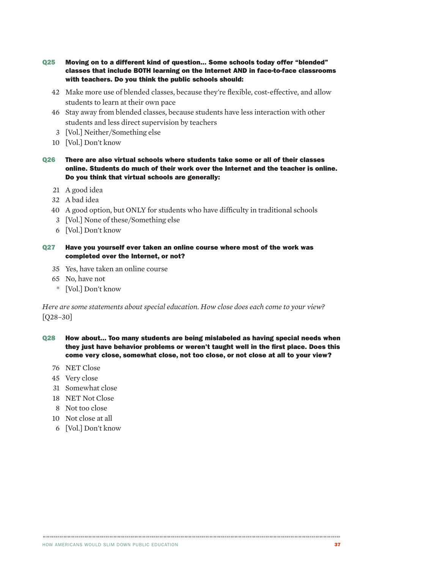- Q25 Moving on to a different kind of question... Some schools today offer "blended" classes that include BOTH learning on the Internet AND in face-to-face classrooms with teachers. Do you think the public schools should:
	- 42 Make more use of blended classes, because they're flexible, cost-effective, and allow students to learn at their own pace
	- 46 Stay away from blended classes, because students have less interaction with other students and less direct supervision by teachers
	- 3 [Vol.] Neither/Something else
	- 10 [Vol.] Don't know
- Q26 There are also virtual schools where students take some or all of their classes online. Students do much of their work over the Internet and the teacher is online. Do you think that virtual schools are generally:
	- 21 A good idea
	- 32 A bad idea
	- 40 A good option, but ONLY for students who have difficulty in traditional schools
	- 3 [Vol.] None of these/Something else
	- 6 [Vol.] Don't know
- Q27 Have you yourself ever taken an online course where most of the work was completed over the Internet, or not?
	- 35 Yes, have taken an online course
	- 65 No, have not
	- \* [Vol.] Don't know

*Here are some statements about special education. How close does each come to your view?*  [Q28–30]

Q28 How about... Too many students are being mislabeled as having special needs when they just have behavior problems or weren't taught well in the first place. Does this come very close, somewhat close, not too close, or not close at all to your view?

- 76 NET Close
- 45 Very close
- 31 Somewhat close
- 18 NET Not Close
- 8 Not too close
- 10 Not close at all
- 6 [Vol.] Don't know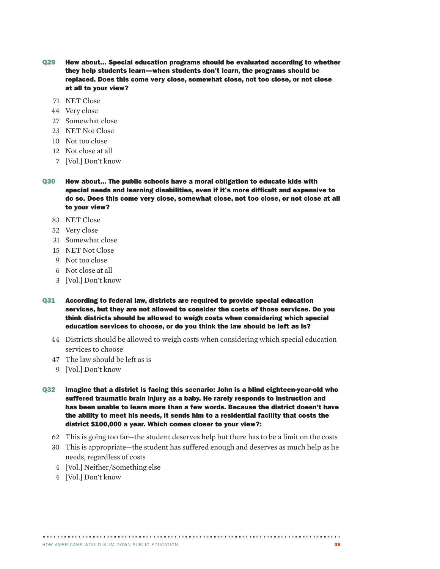- Q29 How about... Special education programs should be evaluated according to whether they help students learn—when students don't learn, the programs should be replaced. Does this come very close, somewhat close, not too close, or not close at all to your view?
	- 71 NET Close
	- 44 Very close
	- 27 Somewhat close
	- 23 NET Not Close
	- 10 Not too close
	- 12 Not close at all
	- 7 [Vol.] Don't know
- Q30 How about... The public schools have a moral obligation to educate kids with special needs and learning disabilities, even if it's more difficult and expensive to do so. Does this come very close, somewhat close, not too close, or not close at all to your view?
	- 83 NET Close
	- 52 Very close
	- 31 Somewhat close
	- 15 NET Not Close
	- 9 Not too close
	- 6 Not close at all
	- 3 [Vol.] Don't know
- Q31 According to federal law, districts are required to provide special education services, but they are not allowed to consider the costs of those services. Do you think districts should be allowed to weigh costs when considering which special education services to choose, or do you think the law should be left as is?
	- 44 Districts should be allowed to weigh costs when considering which special education services to choose
	- 47 The law should be left as is
	- 9 [Vol.] Don't know
- Q32 Imagine that a district is facing this scenario: John is a blind eighteen-year-old who suffered traumatic brain injury as a baby. He rarely responds to instruction and has been unable to learn more than a few words. Because the district doesn't have the ability to meet his needs, it sends him to a residential facility that costs the district \$100,000 a year. Which comes closer to your view?:
	- 62 This is going too far—the student deserves help but there has to be a limit on the costs
	- 30 This is appropriate—the student has suffered enough and deserves as much help as he needs, regardless of costs

- 4 [Vol.] Neither/Something else
- 4 [Vol.] Don't know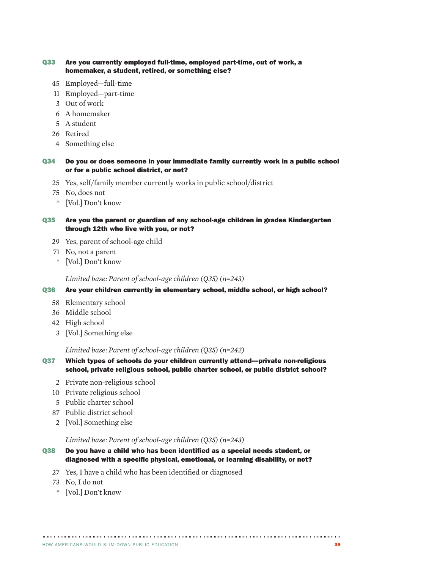#### Q33 Are you currently employed full-time, employed part-time, out of work, a homemaker, a student, retired, or something else?

- 45 Employed—full-time
- 11 Employed—part-time
- 3 Out of work
- 6 A homemaker
- 5 A student
- 26 Retired
- 4 Something else

#### Q34 Do you or does someone in your immediate family currently work in a public school or for a public school district, or not?

- 25 Yes, self/family member currently works in public school/district
- 75 No, does not
- \* [Vol.] Don't know

#### Q35 Are you the parent or guardian of any school-age children in grades Kindergarten through 12th who live with you, or not?

- 29 Yes, parent of school-age child
- 71 No, not a parent
- \* [Vol.] Don't know

#### *Limited base: Parent of school-age children (Q35) (n=243)*

#### Q36 Are your children currently in elementary school, middle school, or high school?

- 58 Elementary school
- 36 Middle school
- 42 High school
- 3 [Vol.] Something else

#### *Limited base: Parent of school-age children (Q35) (n=242)*

- Q37 Which types of schools do your children currently attend—private non-religious school, private religious school, public charter school, or public district school?
	- 2 Private non-religious school
	- 10 Private religious school
	- 5 Public charter school
	- 87 Public district school
	- 2 [Vol.] Something else

#### *Limited base: Parent of school-age children (Q35) (n=243)*

Q38 Do you have a child who has been identified as a special needs student, or diagnosed with a specific physical, emotional, or learning disability, or not?

- 27 Yes, I have a child who has been identified or diagnosed
- 73 No, I do not
- \* [Vol.] Don't know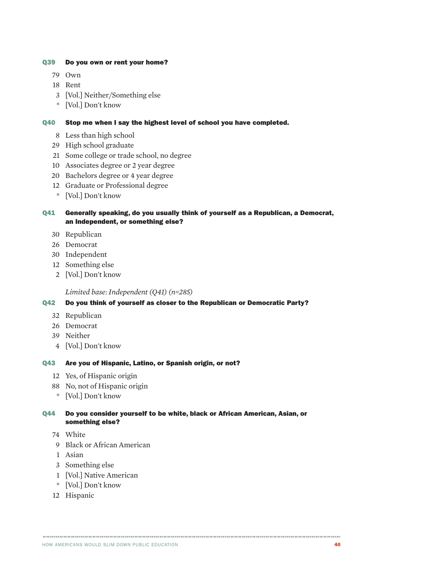#### Q39 Do you own or rent your home?

- Own
- Rent
- [Vol.] Neither/Something else
- \* [Vol.] Don't know

#### Q40 Stop me when I say the highest level of school you have completed.

- Less than high school
- High school graduate
- Some college or trade school, no degree
- Associates degree or 2 year degree
- Bachelors degree or 4 year degree
- Graduate or Professional degree
- \* [Vol.] Don't know

Q41 Generally speaking, do you usually think of yourself as a Republican, a Democrat, an Independent, or something else?

- Republican
- Democrat
- Independent
- Something else
- [Vol.] Don't know

*Limited base: Independent (Q41) (n=285)*

#### Q42 Do you think of yourself as closer to the Republican or Democratic Party?

- Republican
- Democrat
- Neither
- [Vol.] Don't know

#### Q43 Are you of Hispanic, Latino, or Spanish origin, or not?

- Yes, of Hispanic origin
- No, not of Hispanic origin
- \* [Vol.] Don't know

Q44 Do you consider yourself to be white, black or African American, Asian, or something else?

- White
- Black or African American
- Asian
- Something else
- [Vol.] Native American
- \* [Vol.] Don't know
- Hispanic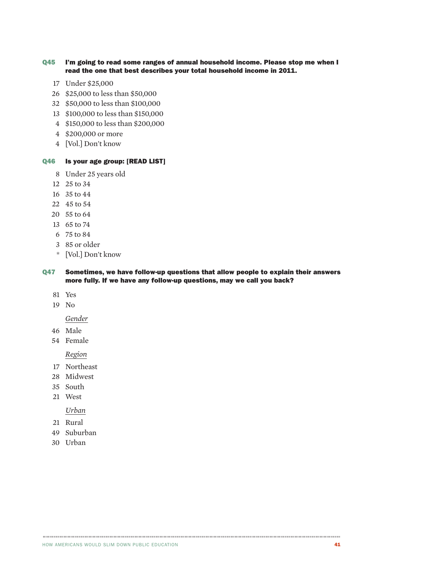#### Q45 I'm going to read some ranges of annual household income. Please stop me when I read the one that best describes your total household income in 2011.

- Under \$25,000
- \$25,000 to less than \$50,000
- \$50,000 to less than \$100,000
- \$100,000 to less than \$150,000
- \$150,000 to less than \$200,000
- \$200,000 or more
- [Vol.] Don't know

#### Q46 Is your age group: [READ LIST]

- Under 25 years old
- 25 to 34
- 35 to 44
- 45 to 54
- 55 to 64
- 65 to 74
- 75 to 84
- 85 or older
- \* [Vol.] Don't know

#### Q47 Sometimes, we have follow-up questions that allow people to explain their answers more fully. If we have any follow-up questions, may we call you back?

- Yes
- No

*Gender*

- Male
- Female

*Region*

- Northeast
- Midwest
- South
- West

#### *Urban*

- Rural
- Suburban
- Urban